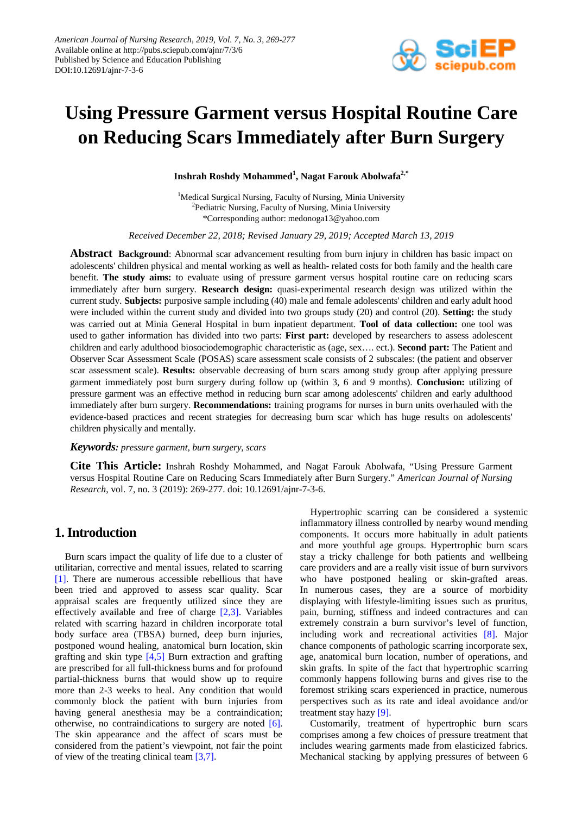

# **Using Pressure Garment versus Hospital Routine Care on Reducing Scars Immediately after Burn Surgery**

**Inshrah Roshdy Mohammed<sup>1</sup> , Nagat Farouk Abolwafa2,\***

<sup>1</sup>Medical Surgical Nursing, Faculty of Nursing, Minia University <sup>2</sup>Pediatric Nursing, Faculty of Nursing, Minia University \*Corresponding author: medonoga13@yahoo.com

*Received December 22, 2018; Revised January 29, 2019; Accepted March 13, 2019*

**Abstract Background**: Abnormal scar advancement resulting from burn injury in children has basic impact on adolescents' children physical and mental working as well as health- related costs for both family and the health care benefit. **The study aims:** to evaluate using of pressure garment versus hospital routine care on reducing scars immediately after burn surgery. **Research design:** quasi-experimental research design was utilized within the current study. **Subjects:** purposive sample including (40) male and female adolescents' children and early adult hood were included within the current study and divided into two groups study (20) and control (20). **Setting:** the study was carried out at Minia General Hospital in burn inpatient department. **Tool of data collection:** one tool was used to gather information has divided into two parts: **First part:** developed by researchers to assess adolescent children and early adulthood biosociodemographic characteristic as (age, sex…. ect.). **Second part:** The Patient and Observer Scar Assessment Scale (POSAS) scare assessment scale consists of 2 subscales: (the patient and observer scar assessment scale). **Results:** observable decreasing of burn scars among study group after applying pressure garment immediately post burn surgery during follow up (within 3, 6 and 9 months). **Conclusion:** utilizing of pressure garment was an effective method in reducing burn scar among adolescents' children and early adulthood immediately after burn surgery. **Recommendations:** training programs for nurses in burn units overhauled with the evidence-based practices and recent strategies for decreasing burn scar which has huge results on adolescents' children physically and mentally.

#### *Keywords: pressure garment, burn surgery, scars*

**Cite This Article:** Inshrah Roshdy Mohammed, and Nagat Farouk Abolwafa, "Using Pressure Garment versus Hospital Routine Care on Reducing Scars Immediately after Burn Surgery." *American Journal of Nursing Research*, vol. 7, no. 3 (2019): 269-277. doi: 10.12691/ajnr-7-3-6.

## **1. Introduction**

Burn scars impact the quality of life due to a cluster of utilitarian, corrective and mental issues, related to scarring [\[1\].](#page-7-0) There are numerous accessible rebellious that have been tried and approved to assess scar quality. Scar appraisal scales are frequently utilized since they are effectively available and free of charge [\[2,3\].](#page-7-1) Variables related with scarring hazard in children incorporate total body surface area (TBSA) burned, deep burn injuries, postponed wound healing, anatomical burn location, skin grafting and skin type [\[4,5\]](#page-7-2) Burn extraction and grafting are prescribed for all full-thickness burns and for profound partial-thickness burns that would show up to require more than 2-3 weeks to heal. Any condition that would commonly block the patient with burn injuries from having general anesthesia may be a contraindication; otherwise, no contraindications to surgery are noted [\[6\].](#page-7-3) The skin appearance and the affect of scars must be considered from the patient's viewpoint, not fair the point of view of the treating clinical team [\[3,7\].](#page-7-4)

Hypertrophic scarring can be considered a systemic inflammatory illness controlled by nearby wound mending components. It occurs more habitually in adult patients and more youthful age groups. Hypertrophic burn scars stay a tricky challenge for both patients and wellbeing care providers and are a really visit issue of burn survivors who have postponed healing or skin-grafted areas. In numerous cases, they are a source of morbidity displaying with lifestyle-limiting issues such as pruritus, pain, burning, stiffness and indeed contractures and can extremely constrain a burn survivor's level of function, including work and recreational activities [\[8\].](#page-7-5) Major chance components of pathologic scarring incorporate sex, age, anatomical burn location, number of operations, and skin grafts. In spite of the fact that hypertrophic scarring commonly happens following burns and gives rise to the foremost striking scars experienced in practice, numerous perspectives such as its rate and ideal avoidance and/or treatment stay hazy [\[9\].](#page-7-6)

Customarily, treatment of hypertrophic burn scars comprises among a few choices of pressure treatment that includes wearing garments made from elasticized fabrics. Mechanical stacking by applying pressures of between 6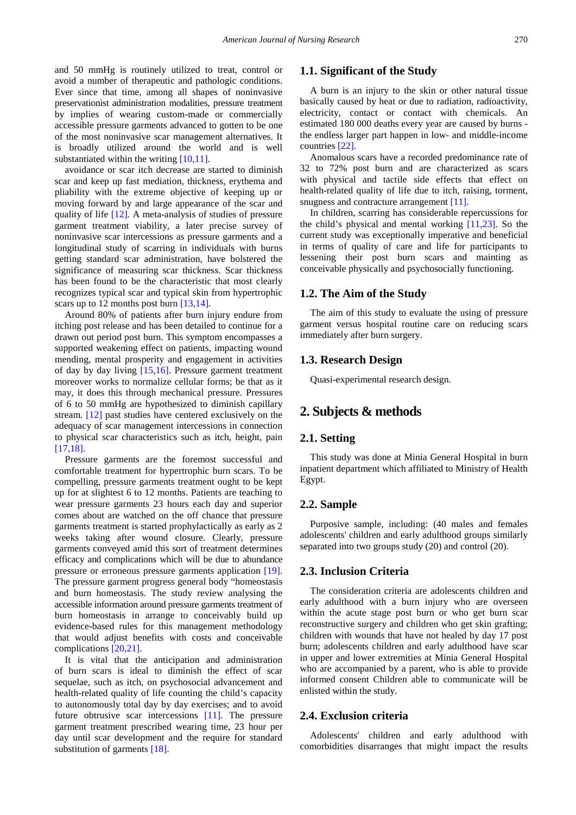and 50 mmHg is routinely utilized to treat, control or avoid a number of therapeutic and pathologic conditions. Ever since that time, among all shapes of noninvasive preservationist administration modalities, pressure treatment by implies of wearing custom-made or commercially accessible pressure garments advanced to gotten to be one of the most noninvasive scar management alternatives. It is broadly utilized around the world and is well substantiated within the writin[g \[10,11\].](#page-7-7)

avoidance or scar itch decrease are started to diminish scar and keep up fast mediation, thickness, erythema and pliability with the extreme objective of keeping up or moving forward by and large appearance of the scar and quality of life [\[12\].](#page-7-8) A meta-analysis of studies of pressure garment treatment viability, a later precise survey of noninvasive scar intercessions as pressure garments and a longitudinal study of scarring in individuals with burns getting standard scar administration, have bolstered the significance of measuring scar thickness. Scar thickness has been found to be the characteristic that most clearly recognizes typical scar and typical skin from hypertrophic scars up to 12 months post burn [\[13,14\].](#page-7-9)

Around 80% of patients after burn injury endure from itching post release and has been detailed to continue for a drawn out period post burn. This symptom encompasses a supported weakening effect on patients, impacting wound mending, mental prosperity and engagement in activities of day by day living [\[15,16\].](#page-8-0) Pressure garment treatment moreover works to normalize cellular forms; be that as it may, it does this through mechanical pressure. Pressures of 6 to 50 mmHg are hypothesized to diminish capillary stream. [\[12\]](#page-7-8) past studies have centered exclusively on the adequacy of scar management intercessions in connection to physical scar characteristics such as itch, height, pain [\[17,18\].](#page-8-1)

Pressure garments are the foremost successful and comfortable treatment for hypertrophic burn scars. To be compelling, pressure garments treatment ought to be kept up for at slightest 6 to 12 months. Patients are teaching to wear pressure garments 23 hours each day and superior comes about are watched on the off chance that pressure garments treatment is started prophylactically as early as 2 weeks taking after wound closure. Clearly, pressure garments conveyed amid this sort of treatment determines efficacy and complications which will be due to abundance pressure or erroneous pressure garments application [\[19\].](#page-8-2) The pressure garment progress general body "homeostasis and burn homeostasis. The study review analysing the accessible information around pressure garments treatment of burn homeostasis in arrange to conceivably build up evidence-based rules for this management methodology that would adjust benefits with costs and conceivable complications [\[20,21\].](#page-8-3)

It is vital that the anticipation and administration of burn scars is ideal to diminish the effect of scar sequelae, such as itch, on psychosocial advancement and health-related quality of life counting the child's capacity to autonomously total day by day exercises; and to avoid future obtrusive scar intercessions [\[11\].](#page-7-10) The pressure garment treatment prescribed wearing time, 23 hour per day until scar development and the require for standard substitution of garments [\[18\].](#page-8-4)

#### **1.1. Significant of the Study**

A burn is an injury to the skin or other natural tissue basically caused by heat or due to radiation, radioactivity, electricity, contact or contact with chemicals. An estimated 180 000 deaths every year are caused by burns the endless larger part happen in low- and middle-income countries [\[22\].](#page-8-5)

Anomalous scars have a recorded predominance rate of 32 to 72% post burn and are characterized as scars with physical and tactile side effects that effect on health-related quality of life due to itch, raising, torment, snugness and contracture arrangement [11].

In children, scarring has considerable repercussions for the child's physical and mental working [\[11,23\].](#page-7-10) So the current study was exceptionally imperative and beneficial in terms of quality of care and life for participants to lessening their post burn scars and mainting as conceivable physically and psychosocially functioning.

#### **1.2. The Aim of the Study**

The aim of this study to evaluate the using of pressure garment versus hospital routine care on reducing scars immediately after burn surgery.

#### **1.3. Research Design**

Quasi-experimental research design.

## **2. Subjects & methods**

#### **2.1. Setting**

This study was done at Minia General Hospital in burn inpatient department which affiliated to Ministry of Health Egypt.

#### **2.2. Sample**

Purposive sample, including: (40 males and females adolescents' children and early adulthood groups similarly separated into two groups study (20) and control (20).

#### **2.3. Inclusion Criteria**

The consideration criteria are adolescents children and early adulthood with a burn injury who are overseen within the acute stage post burn or who get burn scar reconstructive surgery and children who get skin grafting; children with wounds that have not healed by day 17 post burn; adolescents children and early adulthood have scar in upper and lower extremities at Minia General Hospital who are accompanied by a parent, who is able to provide informed consent Children able to communicate will be enlisted within the study.

#### **2.4. Exclusion criteria**

Adolescents' children and early adulthood with comorbidities disarranges that might impact the results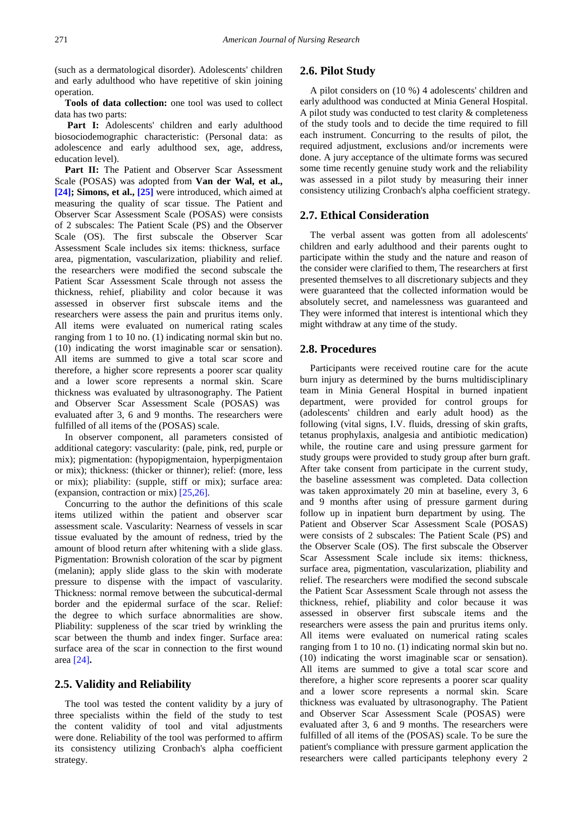(such as a dermatological disorder). Adolescents' children and early adulthood who have repetitive of skin joining operation.

**Tools of data collection:** one tool was used to collect data has two parts:

Part I: Adolescents' children and early adulthood biosociodemographic characteristic: (Personal data: as adolescence and early adulthood sex, age, address, education level).

Part II: The Patient and Observer Scar Assessment Scale (POSAS) was adopted from **Van der Wal, et al., [\[24\];](#page-8-6) Simons, et al., [\[25\]](#page-8-7)** were introduced, which aimed at measuring the quality of scar tissue. The Patient and Observer Scar Assessment Scale (POSAS) were consists of 2 subscales: The Patient Scale (PS) and the Observer Scale (OS). The first subscale the Observer Scar Assessment Scale includes six items: thickness, surface area, pigmentation, vascularization, pliability and relief. the researchers were modified the second subscale the Patient Scar Assessment Scale through not assess the thickness, rehief, pliability and color because it was assessed in observer first subscale items and the researchers were assess the pain and pruritus items only. All items were evaluated on numerical rating scales ranging from 1 to 10 no. (1) indicating normal skin but no. (10) indicating the worst imaginable scar or sensation). All items are summed to give a total scar score and therefore, a higher score represents a poorer scar quality and a lower score represents a normal skin. Scare thickness was evaluated by ultrasonography. The Patient and Observer Scar Assessment Scale (POSAS) was evaluated after 3, 6 and 9 months. The researchers were fulfilled of all items of the (POSAS) scale.

In observer component, all parameters consisted of additional category: vascularity: (pale, pink, red, purple or mix); pigmentation: (hypopigmentaion, hyperpigmentaion or mix); thickness: (thicker or thinner); relief: (more, less or mix); pliability: (supple, stiff or mix); surface area: (expansion, contraction or mix) [\[25,26\].](#page-8-7) 

Concurring to the author the definitions of this scale items utilized within the patient and observer scar assessment scale. Vascularity: Nearness of vessels in scar tissue evaluated by the amount of redness, tried by the amount of blood return after whitening with a slide glass. Pigmentation: Brownish coloration of the scar by pigment (melanin); apply slide glass to the skin with moderate pressure to dispense with the impact of vascularity. Thickness: normal remove between the subcutical-dermal border and the epidermal surface of the scar. Relief: the degree to which surface abnormalities are show. Pliability: suppleness of the scar tried by wrinkling the scar between the thumb and index finger. Surface area: surface area of the scar in connection to the first wound area [\[24\]](#page-8-6)**.**

#### **2.5. Validity and Reliability**

The tool was tested the content validity by a jury of three specialists within the field of the study to test the content validity of tool and vital adjustments were done. Reliability of the tool was performed to affirm its consistency utilizing Cronbach's alpha coefficient strategy.

#### **2.6. Pilot Study**

A pilot considers on (10 %) 4 adolescents' children and early adulthood was conducted at Minia General Hospital. A pilot study was conducted to test clarity & completeness of the study tools and to decide the time required to fill each instrument. Concurring to the results of pilot, the required adjustment, exclusions and/or increments were done. A jury acceptance of the ultimate forms was secured some time recently genuine study work and the reliability was assessed in a pilot study by measuring their inner consistency utilizing Cronbach's alpha coefficient strategy.

#### **2.7. Ethical Consideration**

The verbal assent was gotten from all adolescents' children and early adulthood and their parents ought to participate within the study and the nature and reason of the consider were clarified to them, The researchers at first presented themselves to all discretionary subjects and they were guaranteed that the collected information would be absolutely secret, and namelessness was guaranteed and They were informed that interest is intentional which they might withdraw at any time of the study.

#### **2.8. Procedures**

Participants were received routine care for the acute burn injury as determined by the burns multidisciplinary team in Minia General Hospital in burned inpatient department, were provided for control groups for (adolescents' children and early adult hood) as the following (vital signs, I.V. fluids, dressing of skin grafts, tetanus prophylaxis, analgesia and antibiotic medication) while, the routine care and using pressure garment for study groups were provided to study group after burn graft. After take consent from participate in the current study, the baseline assessment was completed. Data collection was taken approximately 20 min at baseline, every 3, 6 and 9 months after using of pressure garment during follow up in inpatient burn department by using. The Patient and Observer Scar Assessment Scale (POSAS) were consists of 2 subscales: The Patient Scale (PS) and the Observer Scale (OS). The first subscale the Observer Scar Assessment Scale include six items: thickness, surface area, pigmentation, vascularization, pliability and relief. The researchers were modified the second subscale the Patient Scar Assessment Scale through not assess the thickness, rehief, pliability and color because it was assessed in observer first subscale items and the researchers were assess the pain and pruritus items only. All items were evaluated on numerical rating scales ranging from 1 to 10 no. (1) indicating normal skin but no. (10) indicating the worst imaginable scar or sensation). All items are summed to give a total scar score and therefore, a higher score represents a poorer scar quality and a lower score represents a normal skin. Scare thickness was evaluated by ultrasonography. The Patient and Observer Scar Assessment Scale (POSAS) were evaluated after 3, 6 and 9 months. The researchers were fulfilled of all items of the (POSAS) scale. To be sure the patient's compliance with pressure garment application the researchers were called participants telephony every 2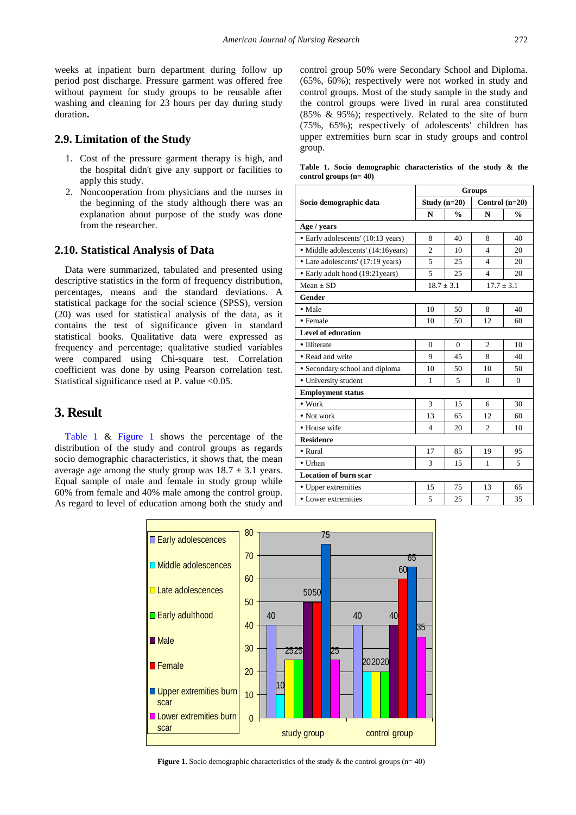weeks at inpatient burn department during follow up period post discharge. Pressure garment was offered free without payment for study groups to be reusable after washing and cleaning for 23 hours per day during study duration**.**

#### **2.9. Limitation of the Study**

- 1. Cost of the pressure garment therapy is high, and the hospital didn't give any support or facilities to apply this study.
- 2. Noncooperation from physicians and the nurses in the beginning of the study although there was an explanation about purpose of the study was done from the researcher.

#### **2.10. Statistical Analysis of Data**

Data were summarized, tabulated and presented using descriptive statistics in the form of frequency distribution, percentages, means and the standard deviations. A statistical package for the social science (SPSS), version (20) was used for statistical analysis of the data, as it contains the test of significance given in standard statistical books. Qualitative data were expressed as frequency and percentage; qualitative studied variables were compared using Chi-square test. Correlation coefficient was done by using Pearson correlation test. Statistical significance used at P. value <0.05.

## **3. Result**

<span id="page-3-1"></span>[Table 1](#page-3-0) & [Figure 1](#page-3-1) shows the percentage of the distribution of the study and control groups as regards socio demographic characteristics, it shows that, the mean average age among the study group was  $18.7 \pm 3.1$  years. Equal sample of male and female in study group while 60% from female and 40% male among the control group. As regard to level of education among both the study and control group 50% were Secondary School and Diploma. (65%, 60%); respectively were not worked in study and control groups. Most of the study sample in the study and the control groups were lived in rural area constituted (85% & 95%); respectively. Related to the site of burn (75%, 65%); respectively of adolescents' children has upper extremities burn scar in study groups and control group.

**Table 1. Socio demographic characteristics of the study & the control groups (n= 40)**

<span id="page-3-0"></span>

|                                    |                |               | Groups                   |               |  |  |
|------------------------------------|----------------|---------------|--------------------------|---------------|--|--|
| Socio demographic data             | Study $(n=20)$ |               | Control $(n=20)$         |               |  |  |
|                                    | N              | $\frac{0}{0}$ | N                        | $\frac{0}{0}$ |  |  |
| Age / years                        |                |               |                          |               |  |  |
| • Early adolescents' (10:13 years) | 8              | 40            | 8                        | 40            |  |  |
| · Middle adolescents' (14:16years) | $\mathfrak{D}$ | 10            | $\overline{\mathcal{L}}$ | 20            |  |  |
| • Late adolescents' (17:19 years)  | 5              | 25            | $\overline{\mathcal{L}}$ | 20            |  |  |
| • Early adult hood (19:21 years)   | 5              | 25            | 4                        | 20            |  |  |
| $Mean + SD$                        | $18.7 \pm 3.1$ |               | $17.7 \pm 3.1$           |               |  |  |
| <b>Gender</b>                      |                |               |                          |               |  |  |
| • Male                             | 10             | 50            | 8                        | 40            |  |  |
| • Female                           | 10             | 50            | 12                       | 60            |  |  |
| <b>Level of education</b>          |                |               |                          |               |  |  |
| • Illiterate                       | $\theta$       | $\Omega$      | $\overline{2}$           | 10            |  |  |
| • Read and write                   | 9              | 45            | 8                        | 40            |  |  |
| • Secondary school and diploma     | 10             | 50            | 10                       | 50            |  |  |
| · University student               | 1              | 5             | $\Omega$                 | $\theta$      |  |  |
| <b>Employment status</b>           |                |               |                          |               |  |  |
| $\bullet$ Work                     | 3              | 15            | 6                        | 30            |  |  |
| $\bullet$ Not work                 | 13             | 65            | 12                       | 60            |  |  |
| • House wife                       | $\overline{4}$ | 20            | $\mathfrak{D}$           | 10            |  |  |
| <b>Residence</b>                   |                |               |                          |               |  |  |
| $\bullet$ Rural                    | 17             | 85            | 19                       | 95            |  |  |
| • Urban                            | 3              | 15            | $\mathbf{1}$             | 5             |  |  |
| <b>Location of burn scar</b>       |                |               |                          |               |  |  |
| • Upper extremities                | 15             | 75            | 13                       | 65            |  |  |
| • Lower extremities                | 5              | 25            | 7                        | 35            |  |  |



**Figure 1.** Socio demographic characteristics of the study  $\&$  the control groups (n= 40)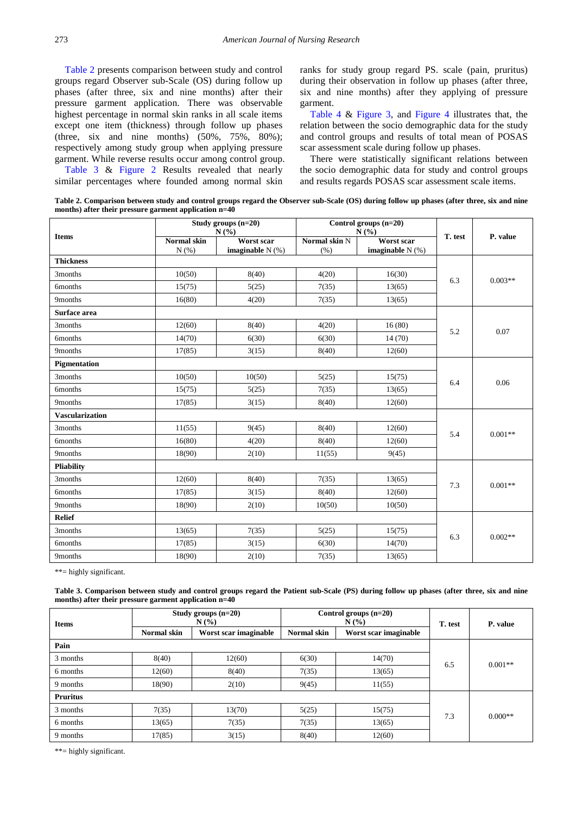[Table 2](#page-4-0) presents comparison between study and control groups regard Observer sub-Scale (OS) during follow up phases (after three, six and nine months) after their pressure garment application. There was observable highest percentage in normal skin ranks in all scale items except one item (thickness) through follow up phases (three, six and nine months) (50%, 75%, 80%); respectively among study group when applying pressure garment. While reverse results occur among control group. [Table 3](#page-4-1) & [Figure 2](#page-5-0) Results revealed that nearly similar percentages where founded among normal skin ranks for study group regard PS. scale (pain, pruritus) during their observation in follow up phases (after three, six and nine months) after they applying of pressure garment.

[Table 4](#page-5-1)  $\&$  [Figure 3,](#page-6-0) and [Figure 4](#page-6-1) illustrates that, the relation between the socio demographic data for the study and control groups and results of total mean of POSAS scar assessment scale during follow up phases.

There were statistically significant relations between the socio demographic data for study and control groups and results regards POSAS scar assessment scale items.

**Table 2. Comparison between study and control groups regard the Observer sub-Scale (OS) during follow up phases (after three, six and nine months) after their pressure garment application n=40** 

<span id="page-4-0"></span>

|                        |                      | Study groups $(n=20)$<br>N(%)    |                       | Control groups (n=20)<br>N(%)    |         |           |  |
|------------------------|----------------------|----------------------------------|-----------------------|----------------------------------|---------|-----------|--|
| <b>Items</b>           | Normal skin<br>N(% ) | Worst scar<br>imaginable $N$ (%) | Normal skin N<br>(% ) | Worst scar<br>imaginable $N(\%)$ | T. test | P. value  |  |
| <b>Thickness</b>       |                      |                                  |                       |                                  |         |           |  |
| 3months                | 10(50)               | 8(40)                            | 4(20)                 | 16(30)                           | 6.3     | $0.003**$ |  |
| 6months                | 15(75)               | 5(25)                            | 7(35)                 | 13(65)                           |         |           |  |
| 9months                | 16(80)               | 4(20)                            | 7(35)                 | 13(65)                           |         |           |  |
| Surface area           |                      |                                  |                       |                                  |         |           |  |
| 3months                | 12(60)               | 8(40)                            | 4(20)                 | 16(80)                           | 5.2     | 0.07      |  |
| 6months                | 14(70)               | 6(30)                            | 6(30)                 | 14(70)                           |         |           |  |
| 9months                | 17(85)               | 3(15)                            | 8(40)                 | 12(60)                           |         |           |  |
| Pigmentation           |                      |                                  |                       |                                  |         |           |  |
| 3months                | 10(50)               | 10(50)                           | 5(25)                 | 15(75)                           | 6.4     | 0.06      |  |
| 6months                | 15(75)               | 5(25)                            | 7(35)                 | 13(65)                           |         |           |  |
| 9months                | 17(85)               | 3(15)                            | 8(40)                 | 12(60)                           |         |           |  |
| <b>Vascularization</b> |                      |                                  |                       |                                  |         |           |  |
| 3months                | 11(55)               | 9(45)                            | 8(40)                 | 12(60)                           | 5.4     | $0.001**$ |  |
| <b>6months</b>         | 16(80)               | 4(20)                            | 8(40)                 | 12(60)                           |         |           |  |
| 9months                | 18(90)               | 2(10)                            | 11(55)                | 9(45)                            |         |           |  |
| <b>Pliability</b>      |                      |                                  |                       |                                  |         |           |  |
| 3months                | 12(60)               | 8(40)                            | 7(35)                 | 13(65)                           | 7.3     | $0.001**$ |  |
| <b>6months</b>         | 17(85)               | 3(15)                            | 8(40)                 | 12(60)                           |         |           |  |
| 9months                | 18(90)               | 2(10)                            | 10(50)                | 10(50)                           |         |           |  |
| <b>Relief</b>          |                      |                                  |                       |                                  |         |           |  |
| 3months                | 13(65)               | 7(35)                            | 5(25)                 | 15(75)                           | 6.3     | $0.002**$ |  |
| 6months                | 17(85)               | 3(15)                            | 6(30)                 | 14(70)                           |         |           |  |
| 9months                | 18(90)               | 2(10)                            | 7(35)                 | 13(65)                           |         |           |  |

\*\*= highly significant.

**Table 3. Comparison between study and control groups regard the Patient sub-Scale (PS) during follow up phases (after three, six and nine months) after their pressure garment application n=40**

<span id="page-4-1"></span>

| <b>Items</b>    |                    | Study groups $(n=20)$<br>N(%) |             | Control groups $(n=20)$<br>N(% | T. test | P. value  |  |
|-----------------|--------------------|-------------------------------|-------------|--------------------------------|---------|-----------|--|
|                 | <b>Normal</b> skin | Worst scar imaginable         | Normal skin | Worst scar imaginable          |         |           |  |
| Pain            |                    |                               |             |                                |         |           |  |
| 3 months        | 8(40)              | 12(60)                        | 6(30)       | 14(70)                         | 6.5     | $0.001**$ |  |
| 6 months        | 12(60)             | 8(40)                         | 7(35)       | 13(65)                         |         |           |  |
| 9 months        | 18(90)             | 2(10)                         | 9(45)       | 11(55)                         |         |           |  |
| <b>Pruritus</b> |                    |                               |             |                                |         |           |  |
| 3 months        | 7(35)              | 13(70)                        | 5(25)       | 15(75)                         | 7.3     | $0.000**$ |  |
| 6 months        | 13(65)             | 7(35)                         | 7(35)       | 13(65)                         |         |           |  |
| 9 months        | 17(85)             | 3(15)                         | 8(40)       | 12(60)                         |         |           |  |

\*\*= highly significant.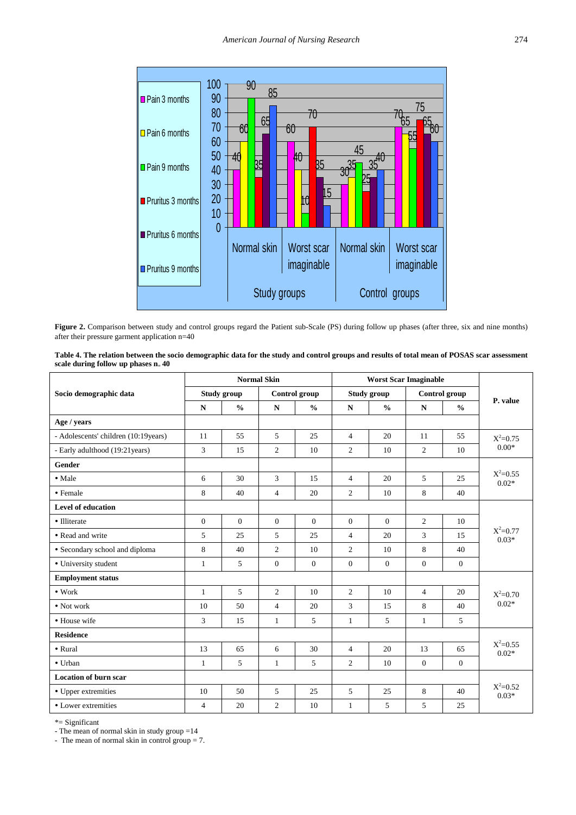<span id="page-5-0"></span>

Figure 2. Comparison between study and control groups regard the Patient sub-Scale (PS) during follow up phases (after three, six and nine months) after their pressure garment application n=40

| Table 4. The relation between the socio demographic data for the study and control groups and results of total mean of POSAS scar assessment |  |
|----------------------------------------------------------------------------------------------------------------------------------------------|--|
| scale during follow up phases $n = 40$                                                                                                       |  |

<span id="page-5-1"></span>

|                                      | <b>Normal Skin</b> |                |                      |               | <b>Worst Scar Imaginable</b> |                |                  |               |                         |  |
|--------------------------------------|--------------------|----------------|----------------------|---------------|------------------------------|----------------|------------------|---------------|-------------------------|--|
| Socio demographic data               | Study group        |                | <b>Control</b> group |               | Study group                  |                | Control group    |               | P. value                |  |
|                                      | ${\bf N}$          | $\frac{0}{0}$  | ${\bf N}$            | $\frac{0}{0}$ | ${\bf N}$                    | $\frac{0}{0}$  | $\mathbf N$      | $\frac{0}{0}$ |                         |  |
| Age / years                          |                    |                |                      |               |                              |                |                  |               |                         |  |
| - Adolescents' children (10:19years) | 11                 | 55             | 5                    | 25            | $\overline{4}$               | 20             | 11               | 55            | $X^2=0.75$              |  |
| - Early adulthood (19:21 years)      | 3                  | 15             | $\overline{2}$       | 10            | 2                            | 10             | 2                | 10            | $0.00*$                 |  |
| <b>Gender</b>                        |                    |                |                      |               |                              |                |                  |               |                         |  |
| • Male                               | 6                  | 30             | 3                    | 15            | $\overline{4}$               | 20             | 5                | 25            | $X^2 = 0.55$<br>$0.02*$ |  |
| • Female                             | 8                  | 40             | $\overline{4}$       | 20            | $\overline{2}$               | 10             | 8                | 40            |                         |  |
| <b>Level of education</b>            |                    |                |                      |               |                              |                |                  |               |                         |  |
| • Illiterate                         | $\theta$           | $\overline{0}$ | $\overline{0}$       | $\mathbf{0}$  | $\Omega$                     | $\overline{0}$ | $\overline{c}$   | 10            | $X^2 = 0.77$<br>$0.03*$ |  |
| • Read and write                     | 5                  | 25             | 5                    | 25            | $\overline{4}$               | 20             | $\overline{3}$   | 15            |                         |  |
| • Secondary school and diploma       | 8                  | 40             | $\overline{2}$       | 10            | $\overline{2}$               | 10             | 8                | 40            |                         |  |
| • University student                 | $\mathbf{1}$       | 5              | $\overline{0}$       | $\mathbf{0}$  | $\mathbf{0}$                 | $\overline{0}$ | $\mathbf{0}$     | $\mathbf{0}$  |                         |  |
| <b>Employment status</b>             |                    |                |                      |               |                              |                |                  |               |                         |  |
| $\bullet$ Work                       | $\mathbf{1}$       | 5              | $\overline{2}$       | 10            | 2                            | 10             | $\overline{4}$   | 20            | $X^2=0.70$<br>$0.02*$   |  |
| $\bullet$ Not work                   | 10                 | 50             | $\overline{4}$       | 20            | 3                            | 15             | 8                | 40            |                         |  |
| • House wife                         | 3                  | 15             | $\mathbf{1}$         | 5             | 1                            | 5              | $\mathbf{1}$     | 5             |                         |  |
| <b>Residence</b>                     |                    |                |                      |               |                              |                |                  |               |                         |  |
| • Rural                              | 13                 | 65             | 6                    | 30            | $\overline{4}$               | 20             | 13               | 65            | $X^2=0.55$<br>$0.02*$   |  |
| • Urban                              | $\mathbf{1}$       | 5              | $\mathbf{1}$         | 5             | 2                            | 10             | $\boldsymbol{0}$ | $\mathbf{0}$  |                         |  |
| <b>Location of burn scar</b>         |                    |                |                      |               |                              |                |                  |               |                         |  |
| • Upper extremities                  | 10                 | 50             | 5                    | 25            | 5                            | 25             | 8                | 40            | $X^2=0.52$<br>$0.03*$   |  |
| • Lower extremities                  | $\overline{4}$     | 20             | $\overline{2}$       | 10            | 1                            | 5              | 5                | 25            |                         |  |

\*= Significant

- The mean of normal skin in study group =14

- The mean of normal skin in control group = 7.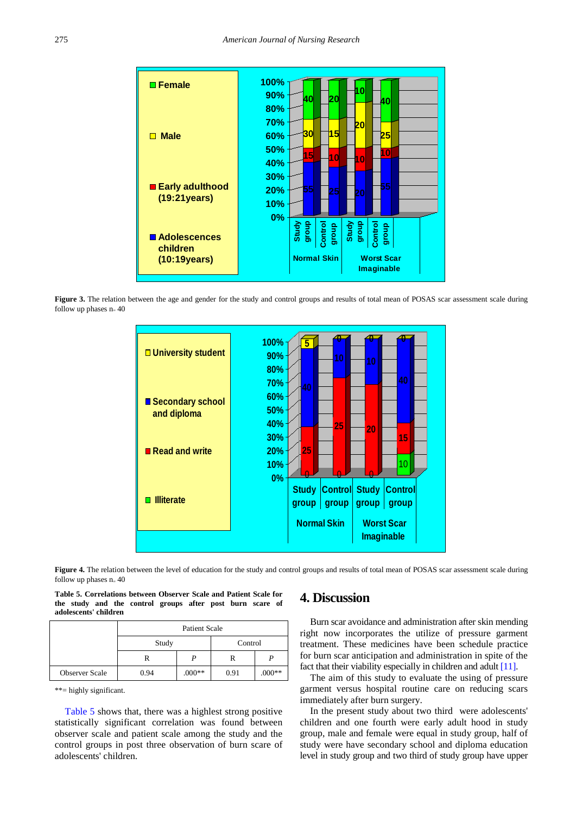<span id="page-6-0"></span>

<span id="page-6-1"></span>Figure 3. The relation between the age and gender for the study and control groups and results of total mean of POSAS scar assessment scale during follow up phases  $n = 40$ 



**Figure 4.** The relation between the level of education for the study and control groups and results of total mean of POSAS scar assessment scale during follow up phases  $n = 40$ 

|                       |  | Table 5. Correlations between Observer Scale and Patient Scale for |  |  |  |
|-----------------------|--|--------------------------------------------------------------------|--|--|--|
|                       |  | the study and the control groups after post burn scare of          |  |  |  |
| adolescents' children |  |                                                                    |  |  |  |

<span id="page-6-2"></span>

|                       | <b>Patient Scale</b> |          |      |          |  |  |  |
|-----------------------|----------------------|----------|------|----------|--|--|--|
|                       | Study                | Control  |      |          |  |  |  |
|                       | R                    |          | R    |          |  |  |  |
| <b>Observer Scale</b> | 0.94                 | $.000**$ | 0.91 | $.000**$ |  |  |  |

\*\*= highly significant.

[Table 5](#page-6-2) shows that, there was a highlest strong positive statistically significant correlation was found between observer scale and patient scale among the study and the control groups in post three observation of burn scare of adolescents' children.

# **4. Discussion**

Burn scar avoidance and administration after skin mending right now incorporates the utilize of pressure garment treatment. These medicines have been schedule practice for burn scar anticipation and administration in spite of the fact that their viability especially in children and adul[t \[11\].](#page-7-10)

The aim of this study to evaluate the using of pressure garment versus hospital routine care on reducing scars immediately after burn surgery.

In the present study about two third were adolescents' children and one fourth were early adult hood in study group, male and female were equal in study group, half of study were have secondary school and diploma education level in study group and two third of study group have upper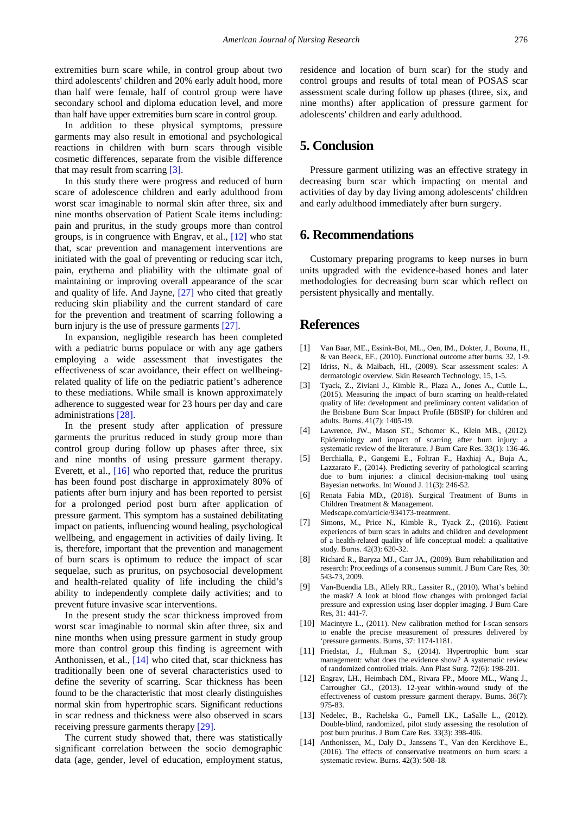extremities burn scare while, in control group about two third adolescents' children and 20% early adult hood, more than half were female, half of control group were have secondary school and diploma education level, and more than half have upper extremities burn scare in control group.

In addition to these physical symptoms, pressure garments may also result in emotional and psychological reactions in children with burn scars through visible cosmetic differences, separate from the visible difference that may result from scarring [\[3\].](#page-7-4)

In this study there were progress and reduced of burn scare of adolescence children and early adulthood from worst scar imaginable to normal skin after three, six and nine months observation of Patient Scale items including: pain and pruritus, in the study groups more than control groups, is in congruence with Engrav, et al., [\[12\]](#page-7-8) who stat that, scar prevention and management interventions are initiated with the goal of preventing or reducing scar itch, pain, erythema and pliability with the ultimate goal of maintaining or improving overall appearance of the scar and quality of life. And Jayne, [\[27\]](#page-8-8) who cited that greatly reducing skin pliability and the current standard of care for the prevention and treatment of scarring following a burn injury is the use of pressure garments [\[27\].](#page-8-8)

In expansion, negligible research has been completed with a pediatric burns populace or with any age gathers employing a wide assessment that investigates the effectiveness of scar avoidance, their effect on wellbeingrelated quality of life on the pediatric patient's adherence to these mediations. While small is known approximately adherence to suggested wear for 23 hours per day and care administrations [\[28\].](#page-8-9)

In the present study after application of pressure garments the pruritus reduced in study group more than control group during follow up phases after three, six and nine months of using pressure garment therapy. Everett, et al., [\[16\]](#page-8-10) who reported that, reduce the pruritus has been found post discharge in approximately 80% of patients after burn injury and has been reported to persist for a prolonged period post burn after application of pressure garment. This symptom has a sustained debilitating impact on patients, influencing wound healing, psychological wellbeing, and engagement in activities of daily living. It is, therefore, important that the prevention and management of burn scars is optimum to reduce the impact of scar sequelae, such as pruritus, on psychosocial development and health-related quality of life including the child's ability to independently complete daily activities; and to prevent future invasive scar interventions.

In the present study the scar thickness improved from worst scar imaginable to normal skin after three, six and nine months when using pressure garment in study group more than control group this finding is agreement with Anthonissen, et al., [\[14\]](#page-7-11) who cited that, scar thickness has traditionally been one of several characteristics used to define the severity of scarring. Scar thickness has been found to be the characteristic that most clearly distinguishes normal skin from hypertrophic scars. Significant reductions in scar redness and thickness were also observed in scars receiving pressure garments therapy [\[29\].](#page-8-11)

The current study showed that, there was statistically significant correlation between the socio demographic data (age, gender, level of education, employment status,

residence and location of burn scar) for the study and control groups and results of total mean of POSAS scar assessment scale during follow up phases (three, six, and nine months) after application of pressure garment for adolescents' children and early adulthood.

# **5. Conclusion**

Pressure garment utilizing was an effective strategy in decreasing burn scar which impacting on mental and activities of day by day living among adolescents' children and early adulthood immediately after burn surgery.

## **6. Recommendations**

Customary preparing programs to keep nurses in burn units upgraded with the evidence-based hones and later methodologies for decreasing burn scar which reflect on persistent physically and mentally.

## **References**

- <span id="page-7-0"></span>[1] Van Baar, ME., Essink-Bot, ML., Oen, IM., Dokter, J., Boxma, H., & van Beeck, EF., (2010). Functional outcome after burns. 32, 1-9.
- <span id="page-7-1"></span>[2] Idriss, N., & Maibach, HI., (2009). Scar assessment scales: A dermatologic overview. Skin Research Technology, 15, 1-5.
- <span id="page-7-4"></span>[3] Tyack, Z., Ziviani J., Kimble R., Plaza A., Jones A., Cuttle L., (2015). Measuring the impact of burn scarring on health-related quality of life: development and preliminary content validation of the Brisbane Burn Scar Impact Profile (BBSIP) for children and adults. Burns. 41(7): 1405-19.
- <span id="page-7-2"></span>[4] Lawrence, JW., Mason ST., Schomer K., Klein MB., (2012). Epidemiology and impact of scarring after burn injury: a systematic review of the literature. J Burn Care Res. 33(1): 136-46.
- [5] Berchialla, P., Gangemi E., Foltran F., Haxhiaj A., Buja A., Lazzarato F., (2014). Predicting severity of pathological scarring due to burn injuries: a clinical decision-making tool using Bayesian networks. Int Wound J. 11(3): 246-52.
- <span id="page-7-3"></span>[6] Renata Fabia MD., (2018). Surgical Treatment of Burns in Children Treatment & Management. Medscape.com/article/934173-treatmrent.
- [7] Simons, M., Price N., Kimble R., Tyack Z., (2016). Patient experiences of burn scars in adults and children and development of a health-related quality of life conceptual model: a qualitative study. Burns. 42(3): 620-32.
- <span id="page-7-5"></span>[8] Richard R., Baryza MJ., Carr JA., (2009). Burn rehabilitation and research: Proceedings of a consensus summit. J Burn Care Res, 30: 543-73, 2009.
- <span id="page-7-6"></span>[9] Van-Buendia LB., Allely RR., Lassiter R., (2010). What's behind the mask? A look at blood flow changes with prolonged facial pressure and expression using laser doppler imaging. J Burn Care Res, 31: 441-7.
- <span id="page-7-7"></span>[10] Macintyre L., (2011). New calibration method for I-scan sensors to enable the precise measurement of pressures delivered by 'pressure garments. Burns, 37: 1174-1181.
- <span id="page-7-10"></span>[11] Friedstat, J., Hultman S., (2014). Hypertrophic burn scar management: what does the evidence show? A systematic review of randomized controlled trials. Ann Plast Surg. 72(6): 198-201.
- <span id="page-7-8"></span>[12] Engrav, LH., Heimbach DM., Rivara FP., Moore ML., Wang J., Carrougher GJ., (2013). 12-year within-wound study of the effectiveness of custom pressure garment therapy. Burns. 36(7): 975-83.
- <span id="page-7-9"></span>[13] Nedelec, B., Rachelska G., Parnell LK., LaSalle L., (2012). Double-blind, randomized, pilot study assessing the resolution of post burn pruritus. J Burn Care Res. 33(3): 398-406.
- <span id="page-7-11"></span>[14] Anthonissen, M., Daly D., Janssens T., Van den Kerckhove E., (2016). The effects of conservative treatments on burn scars: a systematic review. Burns. 42(3): 508-18.